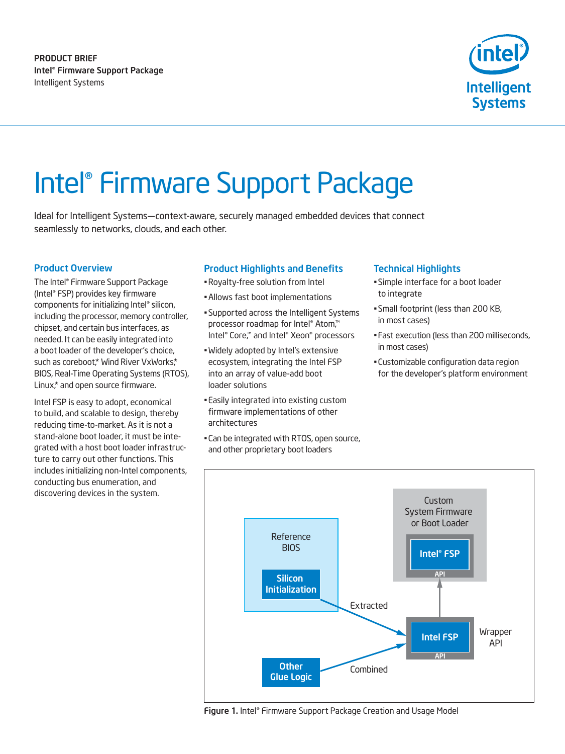product brief Intel® Firmware Support Package Intelligent Systems



# Intel® Firmware Support Package

Ideal for Intelligent Systems—context-aware, securely managed embedded devices that connect seamlessly to networks, clouds, and each other.

### Product Overview

The Intel® Firmware Support Package (Intel® FSP) provides key firmware components for initializing Intel® silicon, including the processor, memory controller, chipset, and certain bus interfaces, as needed. It can be easily integrated into a boot loader of the developer's choice, such as coreboot,\* Wind River VxWorks,\* BIOS, Real-Time Operating Systems (RTOS), Linux,\* and open source firmware.

Intel FSP is easy to adopt, economical to build, and scalable to design, thereby reducing time-to-market. As it is not a stand-alone boot loader, it must be integrated with a host boot loader infrastructure to carry out other functions. This includes initializing non-Intel components, conducting bus enumeration, and discovering devices in the system.

### Product Highlights and Benefits

- •Royalty-free solution from Intel
- •Allows fast boot implementations
- Supported across the Intelligent Systems processor roadmap for Intel® Atom,™ Intel® Core,™ and Intel® Xeon® processors
- Widely adopted by Intel's extensive ecosystem, integrating the Intel FSP into an array of value-add boot loader solutions
- Easily integrated into existing custom firmware implementations of other architectures
- Can be integrated with RTOS, open source, and other proprietary boot loaders

#### Technical Highlights

- Simple interface for a boot loader to integrate
- Small footprint (less than 200 KB, in most cases)
- Fast execution (less than 200 milliseconds, in most cases)
- Customizable configuration data region for the developer's platform environment